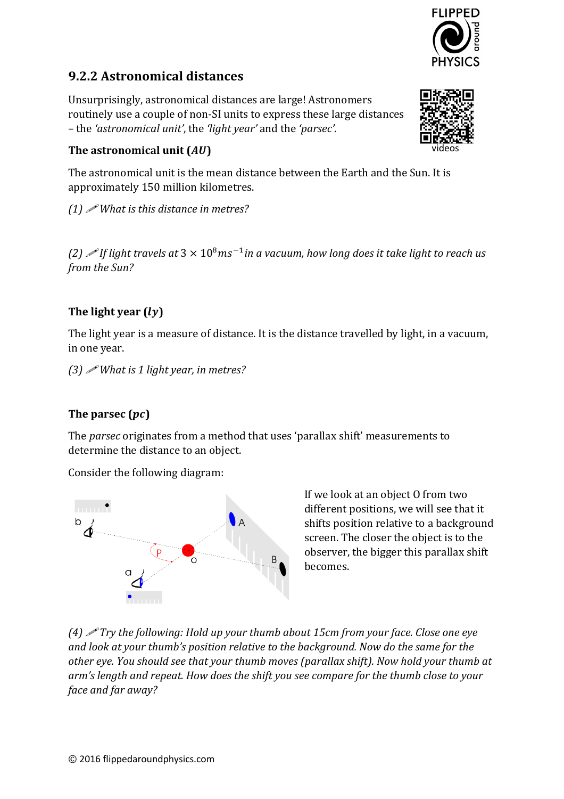

# **9.2.2 Astronomical distances**

Unsurprisingly, astronomical distances are large! Astronomers routinely use a couple of non-SI units to express these large distances – the *'astronomical unit'*, the *'light year'* and the *'parsec'*.



### The astronomical unit  $(AU)$

The astronomical unit is the mean distance between the Earth and the Sun. It is approximately 150 million kilometres.

*(1)*  $\mathscr{N}$ *What is this distance in metres?* 

(2)  $\mathcal{P}$  *If light travels at*  $3 \times 10^8$  ms<sup>-1</sup> in a vacuum, how long does it take light to reach us *from the Sun?*

## The light year  $(ly)$

The light year is a measure of distance. It is the distance travelled by light, in a vacuum, in one year.

*(3)* ! *What is 1 light year, in metres?*

### The parsec  $(pc)$

The *parsec* originates from a method that uses 'parallax shift' measurements to determine the distance to an object.

Consider the following diagram:



If we look at an object O from two different positions, we will see that it shifts position relative to a background screen. The closer the object is to the observer, the bigger this parallax shift becomes.

*(4)*  $\mathscr{P}$  *Try* the following: Hold up your thumb about 15cm from your face. Close one eye and look at your thumb's position relative to the background. Now do the same for the other eye. You should see that your thumb moves (parallax shift). Now hold your thumb at arm's length and repeat. How does the shift you see compare for the thumb close to your *face and far away?*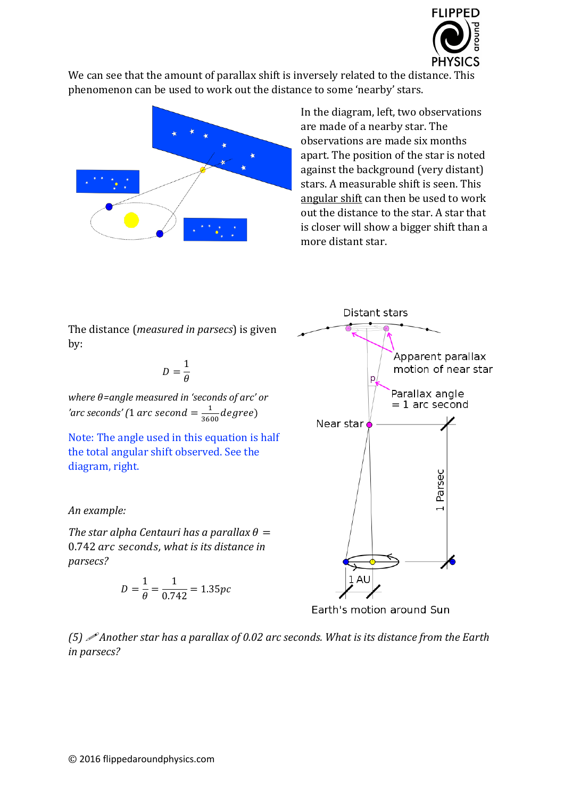

We can see that the amount of parallax shift is inversely related to the distance. This phenomenon can be used to work out the distance to some 'nearby' stars.



In the diagram, left, two observations are made of a nearby star. The observations are made six months apart. The position of the star is noted against the background (very distant) stars. A measurable shift is seen. This angular shift can then be used to work out the distance to the star. A star that is closer will show a bigger shift than a more distant star.

The distance (*measured in parsecs*) is given by:

$$
D=\frac{1}{\theta}
$$

*where*  $\theta$ *=angle* measured in 'seconds of arc' or 'arc seconds' (1 arc second  $=$   $\frac{1}{3600}$  degree)

Note: The angle used in this equation is half the total angular shift observed. See the diagram, right.

*An example:* 

*The star alpha Centauri has a parallax*  $\theta =$ 0.742 arc seconds, what is its distance in *parsecs?*

$$
D = \frac{1}{\theta} = \frac{1}{0.742} = 1.35 pc
$$



Earth's motion around Sun

*(5) Another star has a parallax of 0.02 arc seconds. What is its distance from the Earth in parsecs?*